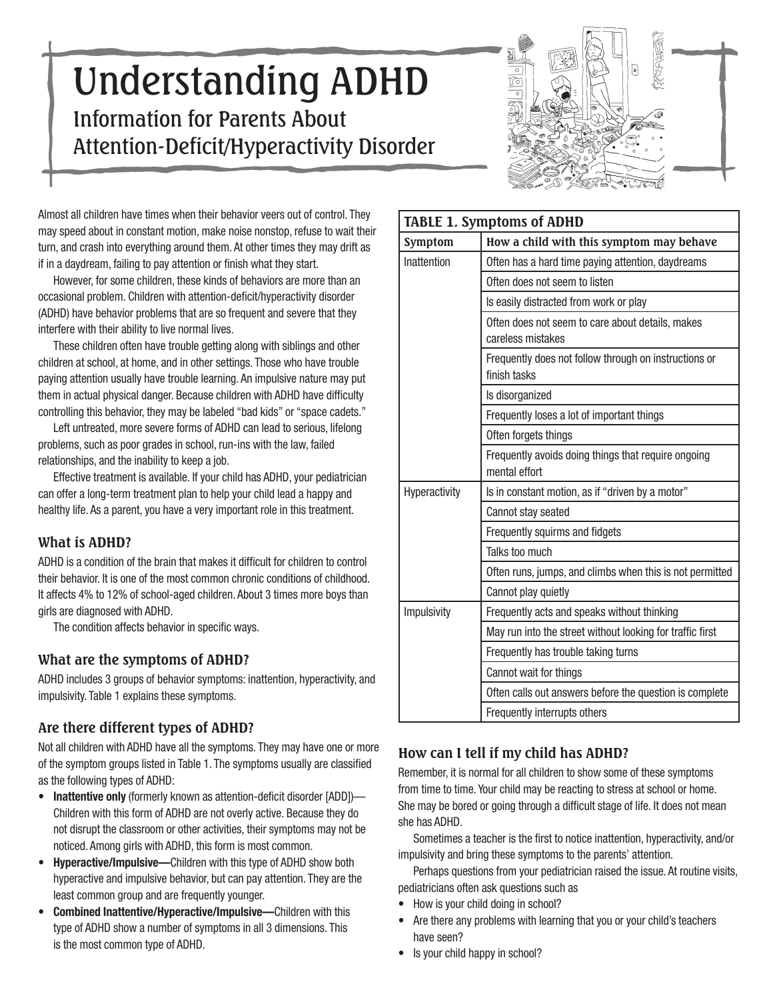# Understanding ADHD Information for Parents About Attention-Deficit/Hyperactivity Disorder



Almost all children have times when their behavior veers out of control. They may speed about in constant motion, make noise nonstop, refuse to wait their turn, and crash into everything around them. At other times they may drift as if in a daydream, failing to pay attention or finish what they start.

However, for some children, these kinds of behaviors are more than an occasional problem. Children with attention-deficit/hyperactivity disorder (ADHD) have behavior problems that are so frequent and severe that they interfere with their ability to live normal lives.

These children often have trouble getting along with siblings and other children at school, at home, and in other settings. Those who have trouble paying attention usually have trouble learning. An impulsive nature may put them in actual physical danger. Because children with ADHD have difficulty controlling this behavior, they may be labeled "bad kids" or "space cadets."

Left untreated, more severe forms of ADHD can lead to serious, lifelong problems, such as poor grades in school, run-ins with the law, failed relationships, and the inability to keep a job.

Effective treatment is available. If your child has ADHD, your pediatrician can offer a long-term treatment plan to help your child lead a happy and healthy life. As a parent, you have a very important role in this treatment.

# **What is ADHD?**

ADHD is a condition of the brain that makes it difficult for children to control their behavior. It is one of the most common chronic conditions of childhood. It affects 4% to 12% of school-aged children. About 3 times more boys than girls are diagnosed with ADHD.

The condition affects behavior in specific ways.

# **What are the symptoms of ADHD?**

ADHD includes 3 groups of behavior symptoms: inattention, hyperactivity, and impulsivity. Table 1 explains these symptoms.

# **Are there different types of ADHD?**

Not all children with ADHD have all the symptoms. They may have one or more of the symptom groups listed in Table 1. The symptoms usually are classified as the following types of ADHD:

- **Inattentive only** (formerly known as attention-deficit disorder [ADD])— Children with this form of ADHD are not overly active. Because they do not disrupt the classroom or other activities, their symptoms may not be noticed. Among girls with ADHD, this form is most common.
- **Hyperactive/Impulsive—**Children with this type of ADHD show both hyperactive and impulsive behavior, but can pay attention. They are the least common group and are frequently younger.
- **Combined Inattentive/Hyperactive/Impulsive—**Children with this type of ADHD show a number of symptoms in all 3 dimensions. This is the most common type of ADHD.

| <b>TABLE 1. Symptoms of ADHD</b> |                                                                       |  |  |
|----------------------------------|-----------------------------------------------------------------------|--|--|
| Symptom                          | How a child with this symptom may behave                              |  |  |
| Inattention                      | Often has a hard time paying attention, daydreams                     |  |  |
|                                  | Often does not seem to listen                                         |  |  |
|                                  | Is easily distracted from work or play                                |  |  |
|                                  | Often does not seem to care about details, makes<br>careless mistakes |  |  |
|                                  | Frequently does not follow through on instructions or<br>finish tasks |  |  |
|                                  | Is disorganized                                                       |  |  |
|                                  | Frequently loses a lot of important things                            |  |  |
|                                  | Often forgets things                                                  |  |  |
|                                  | Frequently avoids doing things that require ongoing<br>mental effort  |  |  |
| Hyperactivity                    | Is in constant motion, as if "driven by a motor"                      |  |  |
|                                  | Cannot stay seated                                                    |  |  |
|                                  | Frequently squirms and fidgets                                        |  |  |
|                                  | Talks too much                                                        |  |  |
|                                  | Often runs, jumps, and climbs when this is not permitted              |  |  |
|                                  | Cannot play quietly                                                   |  |  |
| Impulsivity                      | Frequently acts and speaks without thinking                           |  |  |
|                                  | May run into the street without looking for traffic first             |  |  |
|                                  | Frequently has trouble taking turns                                   |  |  |
|                                  | Cannot wait for things                                                |  |  |
|                                  | Often calls out answers before the question is complete               |  |  |
|                                  | Frequently interrupts others                                          |  |  |

# **How can I tell if my child has ADHD?**

Remember, it is normal for all children to show some of these symptoms from time to time. Your child may be reacting to stress at school or home. She may be bored or going through a difficult stage of life. It does not mean she has ADHD.

Sometimes a teacher is the first to notice inattention, hyperactivity, and/or impulsivity and bring these symptoms to the parents' attention.

Perhaps questions from your pediatrician raised the issue. At routine visits, pediatricians often ask questions such as

- How is your child doing in school?
- Are there any problems with learning that you or your child's teachers have seen?
- Is your child happy in school?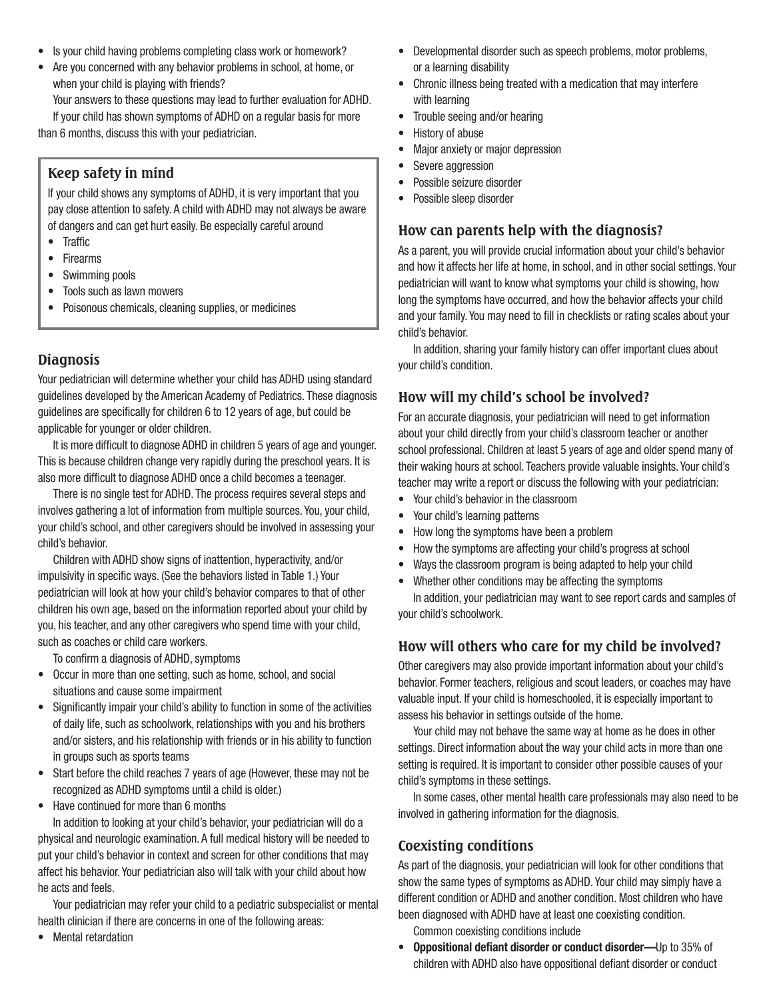- Is your child having problems completing class work or homework?
- Are you concerned with any behavior problems in school, at home, or when your child is playing with friends?

Your answers to these questions may lead to further evaluation for ADHD. If your child has shown symptoms of ADHD on a regular basis for more than 6 months, discuss this with your pediatrician.

# **Keep safety in mind**

If your child shows any symptoms of ADHD, it is very important that you pay close attention to safety. A child with ADHD may not always be aware of dangers and can get hurt easily. Be especially careful around

- Traffic
- Firearms
- Swimming pools
- Tools such as lawn mowers
- Poisonous chemicals, cleaning supplies, or medicines

# **Diagnosis**

Your pediatrician will determine whether your child has ADHD using standard guidelines developed by the American Academy of Pediatrics. These diagnosis guidelines are specifically for children 6 to 12 years of age, but could be applicable for younger or older children.

It is more difficult to diagnose ADHD in children 5 years of age and younger. This is because children change very rapidly during the preschool years. It is also more difficult to diagnose ADHD once a child becomes a teenager.

There is no single test for ADHD. The process requires several steps and involves gathering a lot of information from multiple sources. You, your child, your child's school, and other caregivers should be involved in assessing your child's behavior.

Children with ADHD show signs of inattention, hyperactivity, and/or impulsivity in specific ways. (See the behaviors listed in Table 1.) Your pediatrician will look at how your child's behavior compares to that of other children his own age, based on the information reported about your child by you, his teacher, and any other caregivers who spend time with your child, such as coaches or child care workers.

To confirm a diagnosis of ADHD, symptoms

- Occur in more than one setting, such as home, school, and social situations and cause some impairment
- Significantly impair your child's ability to function in some of the activities of daily life, such as schoolwork, relationships with you and his brothers and/or sisters, and his relationship with friends or in his ability to function in groups such as sports teams
- Start before the child reaches 7 years of age (However, these may not be recognized as ADHD symptoms until a child is older.)
- Have continued for more than 6 months

In addition to looking at your child's behavior, your pediatrician will do a physical and neurologic examination. A full medical history will be needed to put your child's behavior in context and screen for other conditions that may affect his behavior. Your pediatrician also will talk with your child about how he acts and feels.

Your pediatrician may refer your child to a pediatric subspecialist or mental health clinician if there are concerns in one of the following areas:

• Mental retardation

- Developmental disorder such as speech problems, motor problems, or a learning disability
- Chronic illness being treated with a medication that may interfere with learning
- Trouble seeing and/or hearing
- History of abuse
- Major anxiety or major depression
- Severe aggression
- Possible seizure disorder
- Possible sleep disorder

### **How can parents help with the diagnosis?**

As a parent, you will provide crucial information about your child's behavior and how it affects her life at home, in school, and in other social settings. Your pediatrician will want to know what symptoms your child is showing, how long the symptoms have occurred, and how the behavior affects your child and your family. You may need to fill in checklists or rating scales about your child's behavior.

In addition, sharing your family history can offer important clues about your child's condition.

# **How will my child's school be involved?**

For an accurate diagnosis, your pediatrician will need to get information about your child directly from your child's classroom teacher or another school professional. Children at least 5 years of age and older spend many of their waking hours at school. Teachers provide valuable insights. Your child's teacher may write a report or discuss the following with your pediatrician:

- Your child's behavior in the classroom
- Your child's learning patterns
- How long the symptoms have been a problem
- How the symptoms are affecting your child's progress at school
- Ways the classroom program is being adapted to help your child
- Whether other conditions may be affecting the symptoms

In addition, your pediatrician may want to see report cards and samples of your child's schoolwork.

# **How will others who care for my child be involved?**

Other caregivers may also provide important information about your child's behavior. Former teachers, religious and scout leaders, or coaches may have valuable input. If your child is homeschooled, it is especially important to assess his behavior in settings outside of the home.

Your child may not behave the same way at home as he does in other settings. Direct information about the way your child acts in more than one setting is required. It is important to consider other possible causes of your child's symptoms in these settings.

In some cases, other mental health care professionals may also need to be involved in gathering information for the diagnosis.

# **Coexisting conditions**

As part of the diagnosis, your pediatrician will look for other conditions that show the same types of symptoms as ADHD. Your child may simply have a different condition or ADHD and another condition. Most children who have been diagnosed with ADHD have at least one coexisting condition.

Common coexisting conditions include

• **Oppositional defiant disorder or conduct disorder—**Up to 35% of children with ADHD also have oppositional defiant disorder or conduct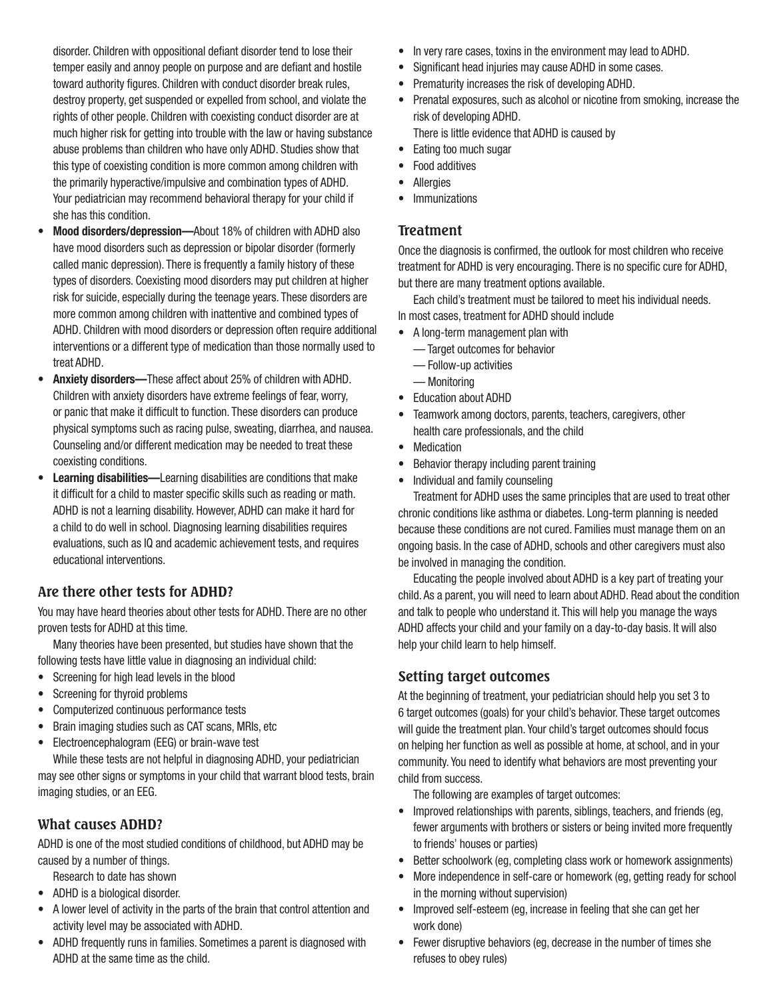disorder. Children with oppositional defiant disorder tend to lose their temper easily and annoy people on purpose and are defiant and hostile toward authority figures. Children with conduct disorder break rules, destroy property, get suspended or expelled from school, and violate the rights of other people. Children with coexisting conduct disorder are at much higher risk for getting into trouble with the law or having substance abuse problems than children who have only ADHD. Studies show that this type of coexisting condition is more common among children with the primarily hyperactive/impulsive and combination types of ADHD. Your pediatrician may recommend behavioral therapy for your child if she has this condition.

- **Mood disorders/depression—**About 18% of children with ADHD also have mood disorders such as depression or bipolar disorder (formerly called manic depression). There is frequently a family history of these types of disorders. Coexisting mood disorders may put children at higher risk for suicide, especially during the teenage years. These disorders are more common among children with inattentive and combined types of ADHD. Children with mood disorders or depression often require additional interventions or a different type of medication than those normally used to treat ADHD.
- **Anxiety disorders—**These affect about 25% of children with ADHD. Children with anxiety disorders have extreme feelings of fear, worry, or panic that make it difficult to function. These disorders can produce physical symptoms such as racing pulse, sweating, diarrhea, and nausea. Counseling and/or different medication may be needed to treat these coexisting conditions.
- **Learning disabilities—**Learning disabilities are conditions that make it difficult for a child to master specific skills such as reading or math. ADHD is not a learning disability. However, ADHD can make it hard for a child to do well in school. Diagnosing learning disabilities requires evaluations, such as IQ and academic achievement tests, and requires educational interventions.

# **Are there other tests for ADHD?**

You may have heard theories about other tests for ADHD. There are no other proven tests for ADHD at this time.

Many theories have been presented, but studies have shown that the following tests have little value in diagnosing an individual child:

- Screening for high lead levels in the blood
- Screening for thyroid problems
- Computerized continuous performance tests
- Brain imaging studies such as CAT scans, MRIs, etc
- Electroencephalogram (EEG) or brain-wave test

While these tests are not helpful in diagnosing ADHD, your pediatrician may see other signs or symptoms in your child that warrant blood tests, brain imaging studies, or an EEG.

# **What causes ADHD?**

ADHD is one of the most studied conditions of childhood, but ADHD may be caused by a number of things.

- Research to date has shown
- ADHD is a biological disorder.
- A lower level of activity in the parts of the brain that control attention and activity level may be associated with ADHD.
- ADHD frequently runs in families. Sometimes a parent is diagnosed with ADHD at the same time as the child.
- In very rare cases, toxins in the environment may lead to ADHD.
- Significant head injuries may cause ADHD in some cases.
- Prematurity increases the risk of developing ADHD.
- Prenatal exposures, such as alcohol or nicotine from smoking, increase the risk of developing ADHD.

There is little evidence that ADHD is caused by

- Eating too much sugar
- Food additives
- Allergies
	- Immunizations

### **Treatment**

Once the diagnosis is confirmed, the outlook for most children who receive treatment for ADHD is very encouraging. There is no specific cure for ADHD, but there are many treatment options available.

Each child's treatment must be tailored to meet his individual needs.

In most cases, treatment for ADHD should include

- A long-term management plan with
	- Target outcomes for behavior
	- Follow-up activities
	- Monitoring
- Education about ADHD
- Teamwork among doctors, parents, teachers, caregivers, other health care professionals, and the child
- Medication
- Behavior therapy including parent training
- Individual and family counseling

Treatment for ADHD uses the same principles that are used to treat other chronic conditions like asthma or diabetes. Long-term planning is needed because these conditions are not cured. Families must manage them on an ongoing basis. In the case of ADHD, schools and other caregivers must also be involved in managing the condition.

Educating the people involved about ADHD is a key part of treating your child. As a parent, you will need to learn about ADHD. Read about the condition and talk to people who understand it. This will help you manage the ways ADHD affects your child and your family on a day-to-day basis. It will also help your child learn to help himself.

# **Setting target outcomes**

At the beginning of treatment, your pediatrician should help you set 3 to 6 target outcomes (goals) for your child's behavior. These target outcomes will guide the treatment plan. Your child's target outcomes should focus on helping her function as well as possible at home, at school, and in your community. You need to identify what behaviors are most preventing your child from success.

The following are examples of target outcomes:

- Improved relationships with parents, siblings, teachers, and friends (eg, fewer arguments with brothers or sisters or being invited more frequently to friends' houses or parties)
- Better schoolwork (eg, completing class work or homework assignments)
- More independence in self-care or homework (eg, getting ready for school in the morning without supervision)
- Improved self-esteem (eg, increase in feeling that she can get her work done)
- Fewer disruptive behaviors (eg, decrease in the number of times she refuses to obey rules)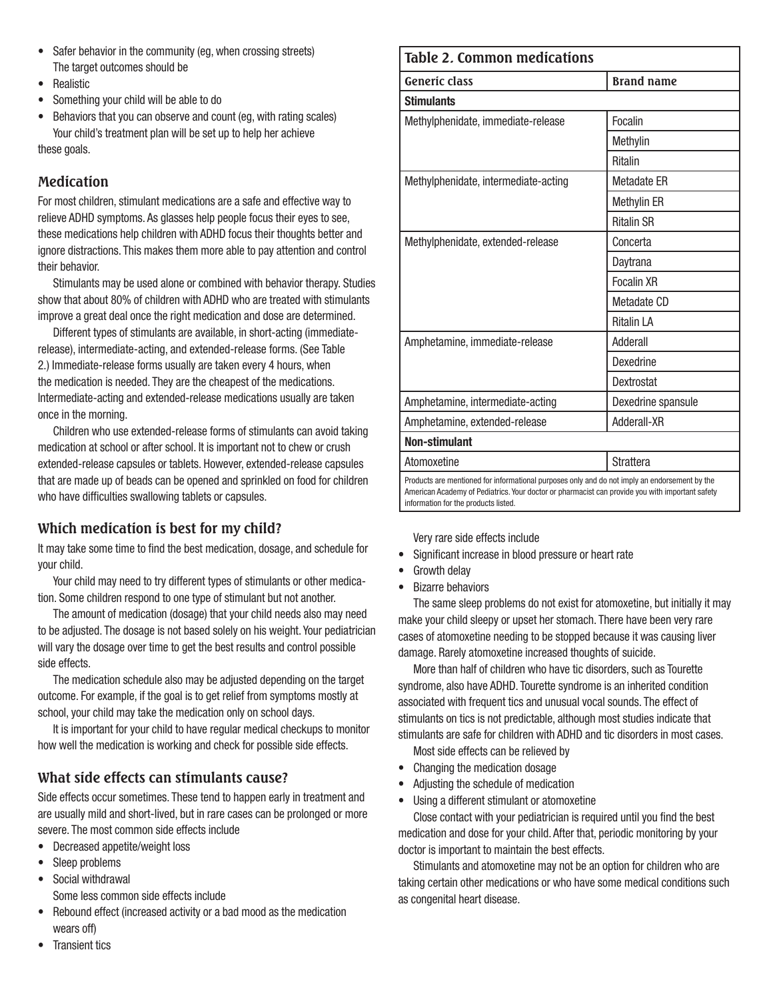- Safer behavior in the community (eg, when crossing streets) The target outcomes should be
- Realistic
- Something your child will be able to do
- Behaviors that you can observe and count (eg, with rating scales) Your child's treatment plan will be set up to help her achieve

these goals.

# **Medication**

For most children, stimulant medications are a safe and effective way to relieve ADHD symptoms. As glasses help people focus their eyes to see, these medications help children with ADHD focus their thoughts better and ignore distractions. This makes them more able to pay attention and control their behavior.

Stimulants may be used alone or combined with behavior therapy. Studies show that about 80% of children with ADHD who are treated with stimulants improve a great deal once the right medication and dose are determined.

Different types of stimulants are available, in short-acting (immediaterelease), intermediate-acting, and extended-release forms. (See Table 2.) Immediate-release forms usually are taken every 4 hours, when the medication is needed. They are the cheapest of the medications. Intermediate-acting and extended-release medications usually are taken once in the morning.

Children who use extended-release forms of stimulants can avoid taking medication at school or after school. It is important not to chew or crush extended-release capsules or tablets. However, extended-release capsules that are made up of beads can be opened and sprinkled on food for children who have difficulties swallowing tablets or capsules.

# **Which medication is best for my child?**

It may take some time to find the best medication, dosage, and schedule for your child.

Your child may need to try different types of stimulants or other medication. Some children respond to one type of stimulant but not another.

The amount of medication (dosage) that your child needs also may need to be adjusted. The dosage is not based solely on his weight. Your pediatrician will vary the dosage over time to get the best results and control possible side effects.

The medication schedule also may be adjusted depending on the target outcome. For example, if the goal is to get relief from symptoms mostly at school, your child may take the medication only on school days.

It is important for your child to have regular medical checkups to monitor how well the medication is working and check for possible side effects.

# **What side effects can stimulants cause?**

Side effects occur sometimes. These tend to happen early in treatment and are usually mild and short-lived, but in rare cases can be prolonged or more severe. The most common side effects include

- Decreased appetite/weight loss
- Sleep problems
- Social withdrawal
	- Some less common side effects include
- Rebound effect (increased activity or a bad mood as the medication wears off)

### **Table 2. Common medications**

| Generic class                                                                                 | <b>Brand name</b>  |  |  |
|-----------------------------------------------------------------------------------------------|--------------------|--|--|
| <b>Stimulants</b>                                                                             |                    |  |  |
| Methylphenidate, immediate-release                                                            | Focalin            |  |  |
|                                                                                               | Methylin           |  |  |
|                                                                                               | <b>Ritalin</b>     |  |  |
| Methylphenidate, intermediate-acting                                                          | <b>Metadate ER</b> |  |  |
|                                                                                               | Methylin ER        |  |  |
|                                                                                               | <b>Ritalin SR</b>  |  |  |
| Methylphenidate, extended-release                                                             | Concerta           |  |  |
|                                                                                               | Daytrana           |  |  |
|                                                                                               | <b>Focalin XR</b>  |  |  |
|                                                                                               | Metadate CD        |  |  |
|                                                                                               | <b>Ritalin LA</b>  |  |  |
| Amphetamine, immediate-release                                                                | Adderall           |  |  |
|                                                                                               | Dexedrine          |  |  |
|                                                                                               | Dextrostat         |  |  |
| Amphetamine, intermediate-acting                                                              | Dexedrine spansule |  |  |
| Amphetamine, extended-release                                                                 | Adderall-XR        |  |  |
| <b>Non-stimulant</b>                                                                          |                    |  |  |
| Atomoxetine                                                                                   | <b>Strattera</b>   |  |  |
| Deaducts are mentioned for informational nurnages antu-and do not imply an andersoment by the |                    |  |  |

Products are mentioned for informational purposes only and do not imply an endorsement by the American Academy of Pediatrics. Your doctor or pharmacist can provide you with important safety information for the products listed.

Very rare side effects include

- Significant increase in blood pressure or heart rate
- **Growth delay**
- Bizarre behaviors

The same sleep problems do not exist for atomoxetine, but initially it may make your child sleepy or upset her stomach. There have been very rare cases of atomoxetine needing to be stopped because it was causing liver damage. Rarely atomoxetine increased thoughts of suicide.

More than half of children who have tic disorders, such as Tourette syndrome, also have ADHD. Tourette syndrome is an inherited condition associated with frequent tics and unusual vocal sounds. The effect of stimulants on tics is not predictable, although most studies indicate that stimulants are safe for children with ADHD and tic disorders in most cases.

- Most side effects can be relieved by
- Changing the medication dosage
- Adjusting the schedule of medication
- Using a different stimulant or atomoxetine

Close contact with your pediatrician is required until you find the best medication and dose for your child. After that, periodic monitoring by your doctor is important to maintain the best effects.

Stimulants and atomoxetine may not be an option for children who are taking certain other medications or who have some medical conditions such as congenital heart disease.

• Transient tics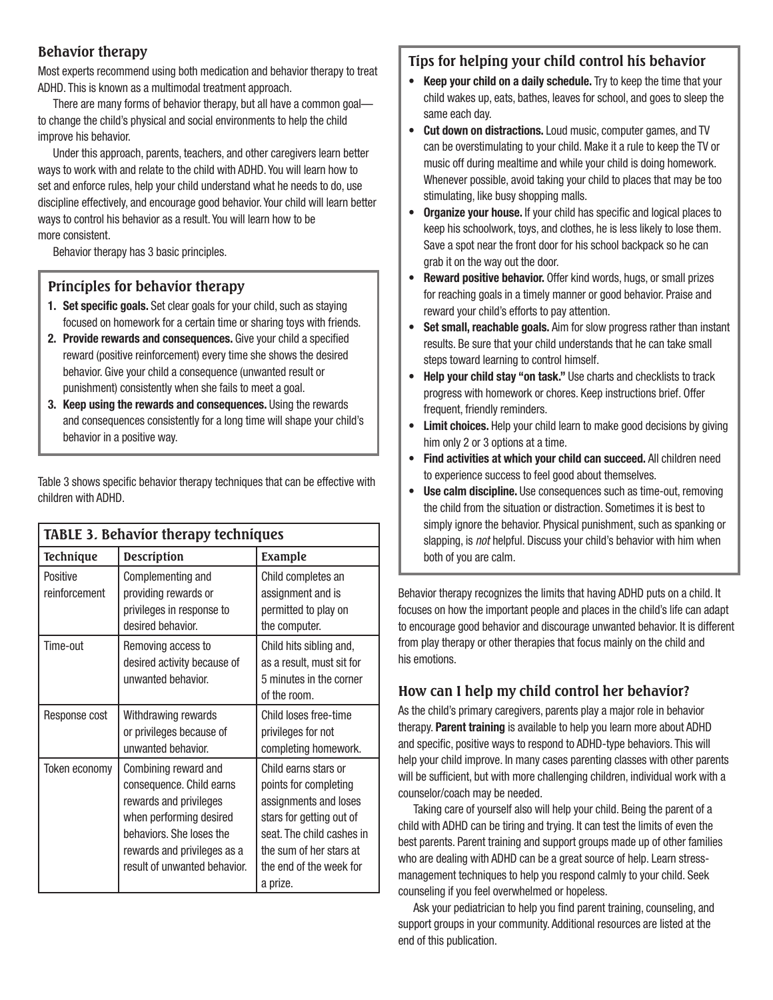# **Behavior therapy**

Most experts recommend using both medication and behavior therapy to treat ADHD. This is known as a multimodal treatment approach.

There are many forms of behavior therapy, but all have a common goal to change the child's physical and social environments to help the child improve his behavior.

Under this approach, parents, teachers, and other caregivers learn better ways to work with and relate to the child with ADHD. You will learn how to set and enforce rules, help your child understand what he needs to do, use discipline effectively, and encourage good behavior. Your child will learn better ways to control his behavior as a result. You will learn how to be more consistent.

Behavior therapy has 3 basic principles.

# **Principles for behavior therapy**

- **1. Set specific goals.** Set clear goals for your child, such as staying focused on homework for a certain time or sharing toys with friends.
- **2. Provide rewards and consequences.** Give your child a specified reward (positive reinforcement) every time she shows the desired behavior. Give your child a consequence (unwanted result or punishment) consistently when she fails to meet a goal.
- **3. Keep using the rewards and consequences.** Using the rewards and consequences consistently for a long time will shape your child's behavior in a positive way.

Table 3 shows specific behavior therapy techniques that can be effective with children with ADHD.

| <b>TABLE 3. Behavior therapy techniques</b> |                                                                                                                                                                                                  |                                                                                                                                                                                                   |  |
|---------------------------------------------|--------------------------------------------------------------------------------------------------------------------------------------------------------------------------------------------------|---------------------------------------------------------------------------------------------------------------------------------------------------------------------------------------------------|--|
| <b>Technique</b>                            | <b>Description</b>                                                                                                                                                                               | Example                                                                                                                                                                                           |  |
| Positive<br>reinforcement                   | Complementing and<br>providing rewards or<br>privileges in response to<br>desired behavior.                                                                                                      | Child completes an<br>assignment and is<br>permitted to play on<br>the computer.                                                                                                                  |  |
| Time-out                                    | Removing access to<br>desired activity because of<br>unwanted behavior.                                                                                                                          | Child hits sibling and,<br>as a result, must sit for<br>5 minutes in the corner<br>of the room.                                                                                                   |  |
| Response cost                               | Withdrawing rewards<br>or privileges because of<br>unwanted behavior.                                                                                                                            | Child loses free-time<br>privileges for not<br>completing homework.                                                                                                                               |  |
| Token economy                               | Combining reward and<br>consequence. Child earns<br>rewards and privileges<br>when performing desired<br>behaviors. She loses the<br>rewards and privileges as a<br>result of unwanted behavior. | Child earns stars or<br>points for completing<br>assignments and loses<br>stars for getting out of<br>seat. The child cashes in<br>the sum of her stars at<br>the end of the week for<br>a prize. |  |

# **Tips for helping your child control his behavior**

- **Keep your child on a daily schedule.** Try to keep the time that your child wakes up, eats, bathes, leaves for school, and goes to sleep the same each day.
- **Cut down on distractions.** Loud music, computer games, and TV can be overstimulating to your child. Make it a rule to keep the TV or music off during mealtime and while your child is doing homework. Whenever possible, avoid taking your child to places that may be too stimulating, like busy shopping malls.
- **Organize your house.** If your child has specific and logical places to keep his schoolwork, toys, and clothes, he is less likely to lose them. Save a spot near the front door for his school backpack so he can grab it on the way out the door.
- **Reward positive behavior.** Offer kind words, hugs, or small prizes for reaching goals in a timely manner or good behavior. Praise and reward your child's efforts to pay attention.
- **Set small, reachable goals.** Aim for slow progress rather than instant results. Be sure that your child understands that he can take small steps toward learning to control himself.
- **Help your child stay "on task."** Use charts and checklists to track progress with homework or chores. Keep instructions brief. Offer frequent, friendly reminders.
- **Limit choices.** Help your child learn to make good decisions by giving him only 2 or 3 options at a time.
- **Find activities at which your child can succeed.** All children need to experience success to feel good about themselves.
- **Use calm discipline.** Use consequences such as time-out, removing the child from the situation or distraction. Sometimes it is best to simply ignore the behavior. Physical punishment, such as spanking or slapping, is *not* helpful. Discuss your child's behavior with him when both of you are calm.

Behavior therapy recognizes the limits that having ADHD puts on a child. It focuses on how the important people and places in the child's life can adapt to encourage good behavior and discourage unwanted behavior. It is different from play therapy or other therapies that focus mainly on the child and his emotions.

# **How can I help my child control her behavior?**

As the child's primary caregivers, parents play a major role in behavior therapy. **Parent training** is available to help you learn more about ADHD and specific, positive ways to respond to ADHD-type behaviors. This will help your child improve. In many cases parenting classes with other parents will be sufficient, but with more challenging children, individual work with a counselor/coach may be needed.

Taking care of yourself also will help your child. Being the parent of a child with ADHD can be tiring and trying. It can test the limits of even the best parents. Parent training and support groups made up of other families who are dealing with ADHD can be a great source of help. Learn stressmanagement techniques to help you respond calmly to your child. Seek counseling if you feel overwhelmed or hopeless.

Ask your pediatrician to help you find parent training, counseling, and support groups in your community. Additional resources are listed at the end of this publication.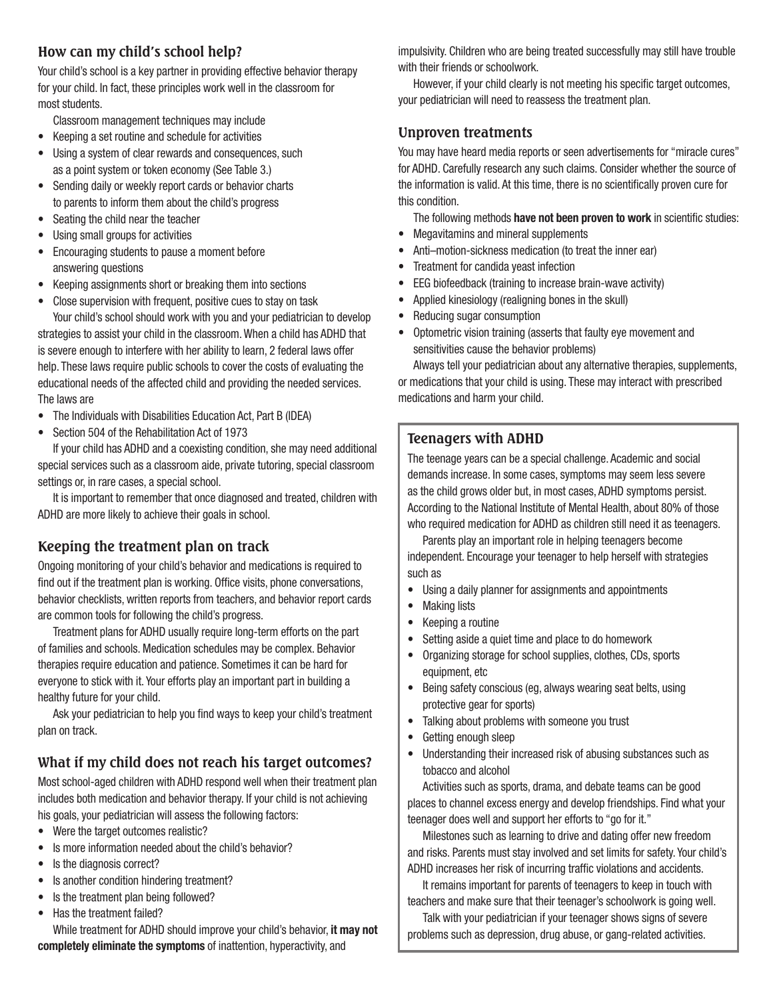# **How can my child's school help?**

Your child's school is a key partner in providing effective behavior therapy for your child. In fact, these principles work well in the classroom for most students.

Classroom management techniques may include

- Keeping a set routine and schedule for activities
- Using a system of clear rewards and consequences, such as a point system or token economy (See Table 3.)
- Sending daily or weekly report cards or behavior charts to parents to inform them about the child's progress
- Seating the child near the teacher
- Using small groups for activities
- Encouraging students to pause a moment before answering questions
- Keeping assignments short or breaking them into sections
- Close supervision with frequent, positive cues to stay on task Your child's school should work with you and your pediatrician to develop

strategies to assist your child in the classroom. When a child has ADHD that is severe enough to interfere with her ability to learn, 2 federal laws offer help. These laws require public schools to cover the costs of evaluating the educational needs of the affected child and providing the needed services. The laws are

- The Individuals with Disabilities Education Act, Part B (IDEA)
- Section 504 of the Rehabilitation Act of 1973

If your child has ADHD and a coexisting condition, she may need additional special services such as a classroom aide, private tutoring, special classroom settings or, in rare cases, a special school.

It is important to remember that once diagnosed and treated, children with ADHD are more likely to achieve their goals in school.

# **Keeping the treatment plan on track**

Ongoing monitoring of your child's behavior and medications is required to find out if the treatment plan is working. Office visits, phone conversations, behavior checklists, written reports from teachers, and behavior report cards are common tools for following the child's progress.

Treatment plans for ADHD usually require long-term efforts on the part of families and schools. Medication schedules may be complex. Behavior therapies require education and patience. Sometimes it can be hard for everyone to stick with it. Your efforts play an important part in building a healthy future for your child.

Ask your pediatrician to help you find ways to keep your child's treatment plan on track.

# **What if my child does not reach his target outcomes?**

Most school-aged children with ADHD respond well when their treatment plan includes both medication and behavior therapy. If your child is not achieving his goals, your pediatrician will assess the following factors:

- Were the target outcomes realistic?
- Is more information needed about the child's behavior?
- Is the diagnosis correct?
- Is another condition hindering treatment?
- Is the treatment plan being followed?
- Has the treatment failed?

While treatment for ADHD should improve your child's behavior, **it may not completely eliminate the symptoms** of inattention, hyperactivity, and

impulsivity. Children who are being treated successfully may still have trouble with their friends or schoolwork.

However, if your child clearly is not meeting his specific target outcomes, your pediatrician will need to reassess the treatment plan.

### **Unproven treatments**

You may have heard media reports or seen advertisements for "miracle cures" for ADHD. Carefully research any such claims. Consider whether the source of the information is valid. At this time, there is no scientifically proven cure for this condition.

The following methods **have not been proven to work** in scientific studies:

- Megavitamins and mineral supplements
- Anti–motion-sickness medication (to treat the inner ear)
- Treatment for candida yeast infection
- EEG biofeedback (training to increase brain-wave activity)
- Applied kinesiology (realigning bones in the skull)
- Reducing sugar consumption
- Optometric vision training (asserts that faulty eye movement and sensitivities cause the behavior problems)

Always tell your pediatrician about any alternative therapies, supplements, or medications that your child is using. These may interact with prescribed medications and harm your child.

# **Teenagers with ADHD**

The teenage years can be a special challenge. Academic and social demands increase. In some cases, symptoms may seem less severe as the child grows older but, in most cases, ADHD symptoms persist. According to the National Institute of Mental Health, about 80% of those who required medication for ADHD as children still need it as teenagers.

Parents play an important role in helping teenagers become

independent. Encourage your teenager to help herself with strategies such as

- Using a daily planner for assignments and appointments
- Making lists
- Keeping a routine
- Setting aside a quiet time and place to do homework
- Organizing storage for school supplies, clothes, CDs, sports equipment, etc
- Being safety conscious (eg, always wearing seat belts, using protective gear for sports)
- Talking about problems with someone you trust
- Getting enough sleep
- Understanding their increased risk of abusing substances such as tobacco and alcohol

Activities such as sports, drama, and debate teams can be good places to channel excess energy and develop friendships. Find what your teenager does well and support her efforts to "go for it."

Milestones such as learning to drive and dating offer new freedom and risks. Parents must stay involved and set limits for safety. Your child's ADHD increases her risk of incurring traffic violations and accidents.

It remains important for parents of teenagers to keep in touch with teachers and make sure that their teenager's schoolwork is going well.

Talk with your pediatrician if your teenager shows signs of severe problems such as depression, drug abuse, or gang-related activities.